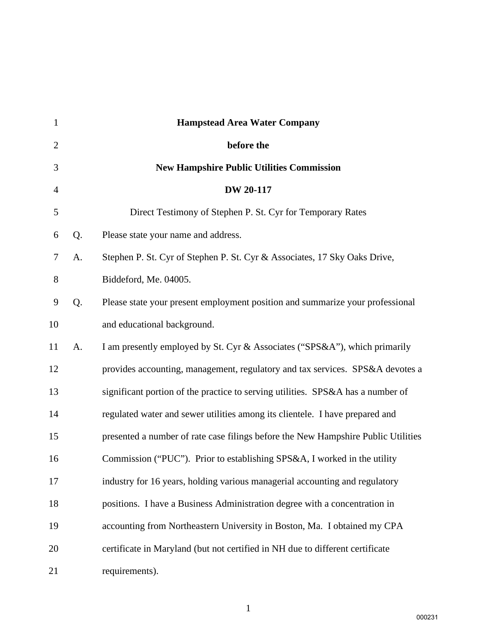| $\mathbf{1}$   |    | <b>Hampstead Area Water Company</b>                                               |
|----------------|----|-----------------------------------------------------------------------------------|
| $\overline{2}$ |    | before the                                                                        |
| 3              |    | <b>New Hampshire Public Utilities Commission</b>                                  |
| $\overline{4}$ |    | <b>DW 20-117</b>                                                                  |
| 5              |    | Direct Testimony of Stephen P. St. Cyr for Temporary Rates                        |
| 6              | Q. | Please state your name and address.                                               |
| 7              | А. | Stephen P. St. Cyr of Stephen P. St. Cyr & Associates, 17 Sky Oaks Drive,         |
| 8              |    | Biddeford, Me. 04005.                                                             |
| 9              | Q. | Please state your present employment position and summarize your professional     |
| 10             |    | and educational background.                                                       |
| 11             | A. | I am presently employed by St. Cyr & Associates ("SPS&A"), which primarily        |
| 12             |    | provides accounting, management, regulatory and tax services. SPS&A devotes a     |
| 13             |    | significant portion of the practice to serving utilities. SPS&A has a number of   |
| 14             |    | regulated water and sewer utilities among its clientele. I have prepared and      |
| 15             |    | presented a number of rate case filings before the New Hampshire Public Utilities |
| 16             |    | Commission ("PUC"). Prior to establishing SPS&A, I worked in the utility          |
| 17             |    | industry for 16 years, holding various managerial accounting and regulatory       |
| 18             |    | positions. I have a Business Administration degree with a concentration in        |
| 19             |    | accounting from Northeastern University in Boston, Ma. I obtained my CPA          |
| 20             |    | certificate in Maryland (but not certified in NH due to different certificate     |
| 21             |    | requirements).                                                                    |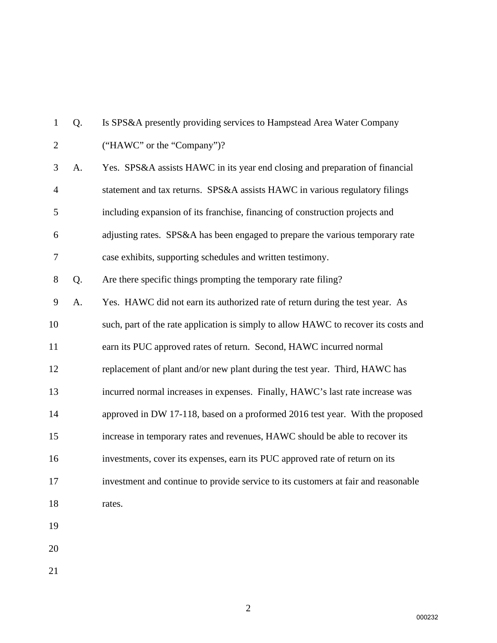| 1              | Q. | Is SPS&A presently providing services to Hampstead Area Water Company               |
|----------------|----|-------------------------------------------------------------------------------------|
| $\overline{2}$ |    | ("HAWC" or the "Company")?                                                          |
| 3              | A. | Yes. SPS&A assists HAWC in its year end closing and preparation of financial        |
| $\overline{4}$ |    | statement and tax returns. SPS&A assists HAWC in various regulatory filings         |
| 5              |    | including expansion of its franchise, financing of construction projects and        |
| 6              |    | adjusting rates. SPS&A has been engaged to prepare the various temporary rate       |
| 7              |    | case exhibits, supporting schedules and written testimony.                          |
| $8\,$          | Q. | Are there specific things prompting the temporary rate filing?                      |
| 9              | A. | Yes. HAWC did not earn its authorized rate of return during the test year. As       |
| 10             |    | such, part of the rate application is simply to allow HAWC to recover its costs and |
| 11             |    | earn its PUC approved rates of return. Second, HAWC incurred normal                 |
| 12             |    | replacement of plant and/or new plant during the test year. Third, HAWC has         |
| 13             |    | incurred normal increases in expenses. Finally, HAWC's last rate increase was       |
| 14             |    | approved in DW 17-118, based on a proformed 2016 test year. With the proposed       |
| 15             |    | increase in temporary rates and revenues, HAWC should be able to recover its        |
| 16             |    | investments, cover its expenses, earn its PUC approved rate of return on its        |
| 17             |    | investment and continue to provide service to its customers at fair and reasonable  |
| 18             |    | rates.                                                                              |
| 19             |    |                                                                                     |
| 20             |    |                                                                                     |
| 21             |    |                                                                                     |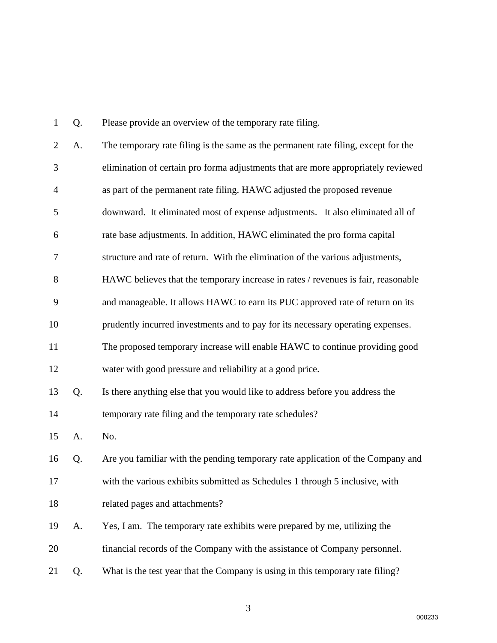| 1              | Q. | Please provide an overview of the temporary rate filing.                           |
|----------------|----|------------------------------------------------------------------------------------|
| $\overline{2}$ | A. | The temporary rate filing is the same as the permanent rate filing, except for the |
| 3              |    | elimination of certain pro forma adjustments that are more appropriately reviewed  |
| 4              |    | as part of the permanent rate filing. HAWC adjusted the proposed revenue           |
| 5              |    | downward. It eliminated most of expense adjustments. It also eliminated all of     |
| 6              |    | rate base adjustments. In addition, HAWC eliminated the pro forma capital          |
| $\tau$         |    | structure and rate of return. With the elimination of the various adjustments,     |
| 8              |    | HAWC believes that the temporary increase in rates / revenues is fair, reasonable  |
| 9              |    | and manageable. It allows HAWC to earn its PUC approved rate of return on its      |
| 10             |    | prudently incurred investments and to pay for its necessary operating expenses.    |
| 11             |    | The proposed temporary increase will enable HAWC to continue providing good        |
| 12             |    | water with good pressure and reliability at a good price.                          |
| 13             | Q. | Is there anything else that you would like to address before you address the       |
| 14             |    | temporary rate filing and the temporary rate schedules?                            |
| 15             | A. | No.                                                                                |
| 16             | Q. | Are you familiar with the pending temporary rate application of the Company and    |
| 17             |    | with the various exhibits submitted as Schedules 1 through 5 inclusive, with       |
| 18             |    | related pages and attachments?                                                     |
| 19             | A. | Yes, I am. The temporary rate exhibits were prepared by me, utilizing the          |
| 20             |    | financial records of the Company with the assistance of Company personnel.         |
| 21             | Q. | What is the test year that the Company is using in this temporary rate filing?     |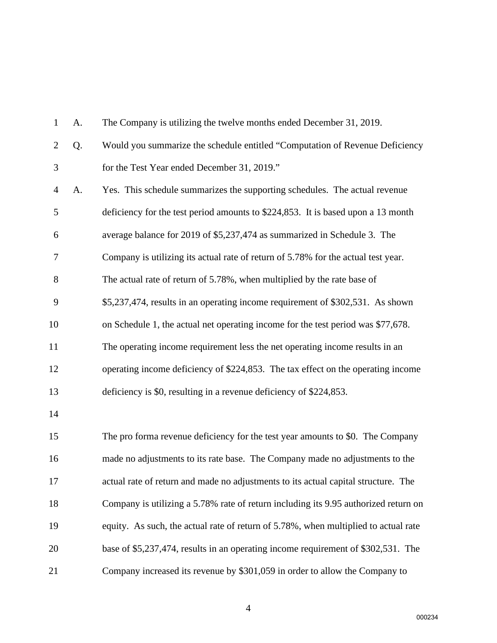| $\mathbf{1}$   | A. | The Company is utilizing the twelve months ended December 31, 2019.                 |
|----------------|----|-------------------------------------------------------------------------------------|
| $\overline{2}$ | Q. | Would you summarize the schedule entitled "Computation of Revenue Deficiency        |
| 3              |    | for the Test Year ended December 31, 2019."                                         |
| $\overline{4}$ | A. | Yes. This schedule summarizes the supporting schedules. The actual revenue          |
| 5              |    | deficiency for the test period amounts to \$224,853. It is based upon a 13 month    |
| 6              |    | average balance for 2019 of \$5,237,474 as summarized in Schedule 3. The            |
| 7              |    | Company is utilizing its actual rate of return of 5.78% for the actual test year.   |
| 8              |    | The actual rate of return of 5.78%, when multiplied by the rate base of             |
| 9              |    | \$5,237,474, results in an operating income requirement of \$302,531. As shown      |
| 10             |    | on Schedule 1, the actual net operating income for the test period was \$77,678.    |
| 11             |    | The operating income requirement less the net operating income results in an        |
| 12             |    | operating income deficiency of \$224,853. The tax effect on the operating income    |
| 13             |    | deficiency is \$0, resulting in a revenue deficiency of \$224,853.                  |
| 14             |    |                                                                                     |
| 15             |    | The pro forma revenue deficiency for the test year amounts to \$0. The Company      |
| 16             |    | made no adjustments to its rate base. The Company made no adjustments to the        |
| 17             |    | actual rate of return and made no adjustments to its actual capital structure. The  |
| 18             |    | Company is utilizing a 5.78% rate of return including its 9.95 authorized return on |
| 19             |    | equity. As such, the actual rate of return of 5.78%, when multiplied to actual rate |
| 20             |    | base of \$5,237,474, results in an operating income requirement of \$302,531. The   |
| 21             |    | Company increased its revenue by \$301,059 in order to allow the Company to         |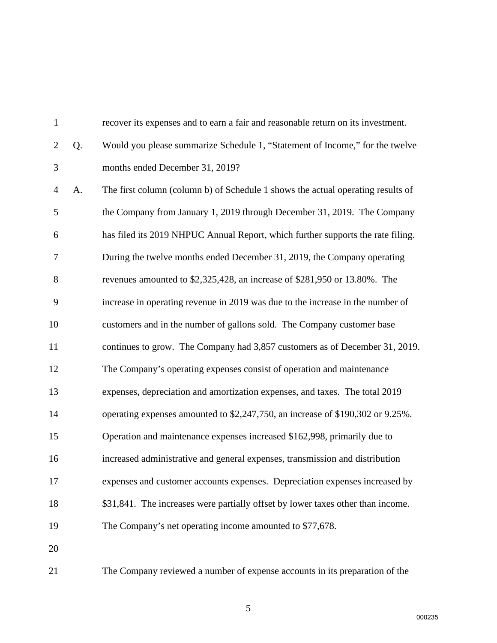| $\mathbf{1}$   |    | recover its expenses and to earn a fair and reasonable return on its investment. |
|----------------|----|----------------------------------------------------------------------------------|
| $\overline{2}$ | Q. | Would you please summarize Schedule 1, "Statement of Income," for the twelve     |
| 3              |    | months ended December 31, 2019?                                                  |
| $\overline{4}$ | A. | The first column (column b) of Schedule 1 shows the actual operating results of  |
| 5              |    | the Company from January 1, 2019 through December 31, 2019. The Company          |
| 6              |    | has filed its 2019 NHPUC Annual Report, which further supports the rate filing.  |
| 7              |    | During the twelve months ended December 31, 2019, the Company operating          |
| $8\,$          |    | revenues amounted to \$2,325,428, an increase of \$281,950 or 13.80%. The        |
| 9              |    | increase in operating revenue in 2019 was due to the increase in the number of   |
| 10             |    | customers and in the number of gallons sold. The Company customer base           |
| 11             |    | continues to grow. The Company had 3,857 customers as of December 31, 2019.      |
| 12             |    | The Company's operating expenses consist of operation and maintenance            |
| 13             |    | expenses, depreciation and amortization expenses, and taxes. The total 2019      |
| 14             |    | operating expenses amounted to \$2,247,750, an increase of \$190,302 or 9.25%.   |
| 15             |    | Operation and maintenance expenses increased \$162,998, primarily due to         |
| 16             |    | increased administrative and general expenses, transmission and distribution     |
| 17             |    | expenses and customer accounts expenses. Depreciation expenses increased by      |
| 18             |    | \$31,841. The increases were partially offset by lower taxes other than income.  |
| 19             |    | The Company's net operating income amounted to \$77,678.                         |
| 20             |    |                                                                                  |
| 21             |    | The Company reviewed a number of expense accounts in its preparation of the      |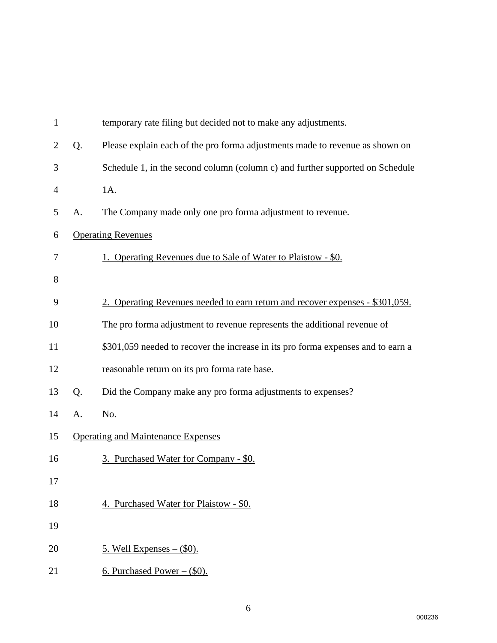| $\mathbf{1}$   |    | temporary rate filing but decided not to make any adjustments.                   |
|----------------|----|----------------------------------------------------------------------------------|
| $\overline{2}$ | Q. | Please explain each of the pro forma adjustments made to revenue as shown on     |
| 3              |    | Schedule 1, in the second column (column c) and further supported on Schedule    |
| 4              |    | 1A.                                                                              |
| 5              | A. | The Company made only one pro forma adjustment to revenue.                       |
| 6              |    | <b>Operating Revenues</b>                                                        |
| 7              |    | 1. Operating Revenues due to Sale of Water to Plaistow - \$0.                    |
| 8              |    |                                                                                  |
| 9              |    | 2. Operating Revenues needed to earn return and recover expenses - \$301,059.    |
| 10             |    | The pro forma adjustment to revenue represents the additional revenue of         |
| 11             |    | \$301,059 needed to recover the increase in its pro forma expenses and to earn a |
| 12             |    | reasonable return on its pro forma rate base.                                    |
| 13             | Q. | Did the Company make any pro forma adjustments to expenses?                      |
| 14             | A. | No.                                                                              |
| 15             |    | <b>Operating and Maintenance Expenses</b>                                        |
| 16             |    | 3. Purchased Water for Company - \$0.                                            |
| 17             |    |                                                                                  |
| 18             |    | 4. Purchased Water for Plaistow - \$0.                                           |
| 19             |    |                                                                                  |
| 20             |    | <u>5. Well Expenses – <math>(\\$0)</math>.</u>                                   |
| 21             |    | 6. Purchased Power $-$ (\$0).                                                    |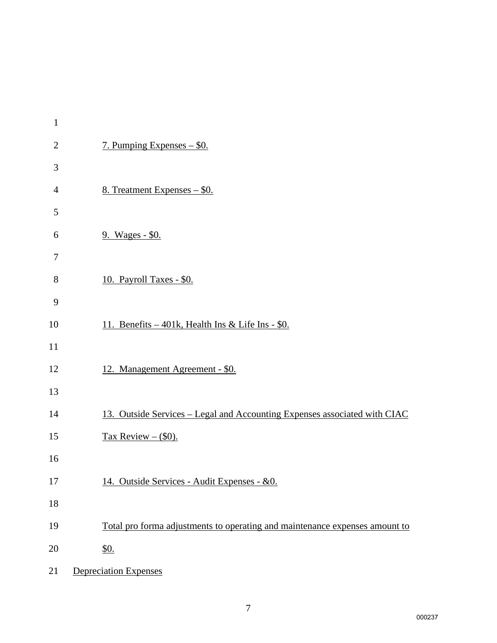| $\mathbf{1}$   |                                                                             |
|----------------|-----------------------------------------------------------------------------|
| $\mathbf{2}$   | 7. Pumping Expenses – \$0.                                                  |
| 3              |                                                                             |
| $\overline{4}$ | 8. Treatment Expenses - \$0.                                                |
| 5              |                                                                             |
| 6              | 9. Wages - \$0.                                                             |
| 7              |                                                                             |
| $8\,$          | 10. Payroll Taxes - \$0.                                                    |
| 9              |                                                                             |
| 10             | 11. Benefits – 401k, Health Ins & Life Ins - \$0.                           |
| 11             |                                                                             |
| 12             | 12. Management Agreement - \$0.                                             |
| 13             |                                                                             |
| 14             | 13. Outside Services - Legal and Accounting Expenses associated with CIAC   |
| 15             | Tax Review $-$ (\$0).                                                       |
| 16             |                                                                             |
| 17             | 14. Outside Services - Audit Expenses - &0.                                 |
| 18             |                                                                             |
| 19             | Total pro forma adjustments to operating and maintenance expenses amount to |
| 20             | <u>\$0.</u>                                                                 |
| 21             | <b>Depreciation Expenses</b>                                                |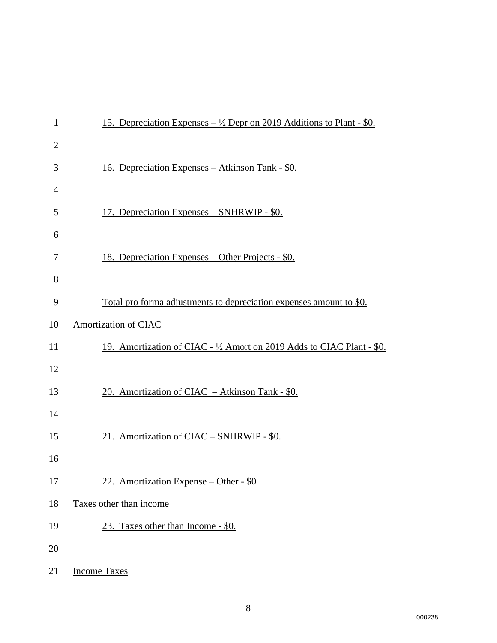| $\mathbf{1}$   | <u>15. Depreciation Expenses – <math>\frac{1}{2}</math> Depr on 2019 Additions to Plant - \$0.</u> |
|----------------|----------------------------------------------------------------------------------------------------|
| $\overline{2}$ |                                                                                                    |
| 3              | <u> 16. Depreciation Expenses – Atkinson Tank - \$0.</u>                                           |
| $\overline{4}$ |                                                                                                    |
| 5              | 17. Depreciation Expenses – SNHRWIP - \$0.                                                         |
| 6              |                                                                                                    |
| 7              | <u> 18. Depreciation Expenses – Other Projects - \$0.</u>                                          |
| 8              |                                                                                                    |
| 9              | <u>Total pro forma adjustments to depreciation expenses amount to \$0.</u>                         |
| 10             | Amortization of CIAC                                                                               |
| 11             | 19. Amortization of CIAC - 1/2 Amort on 2019 Adds to CIAC Plant - \$0.                             |
| 12             |                                                                                                    |
| 13             | 20. Amortization of CIAC - Atkinson Tank - \$0.                                                    |
| 14             |                                                                                                    |
| 15             | 21. Amortization of CIAC - SNHRWIP - \$0.                                                          |
| 16             |                                                                                                    |
| 17             | 22. Amortization Expense – Other - $$0$                                                            |
| 18             | Taxes other than income                                                                            |
| 19             | 23. Taxes other than Income - \$0.                                                                 |
| 20             |                                                                                                    |
| 21             | <b>Income Taxes</b>                                                                                |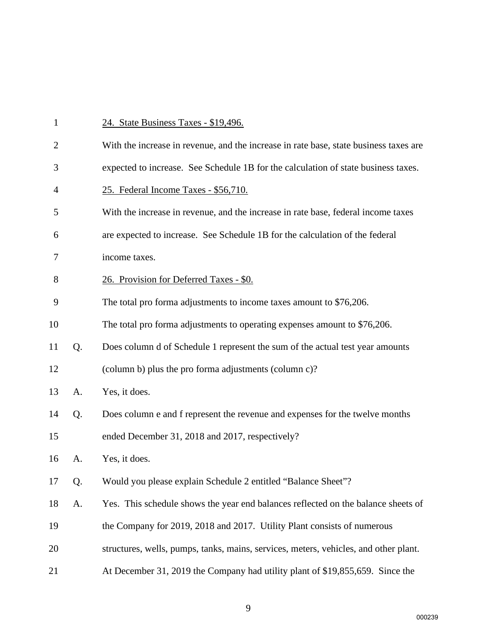| $\mathbf{1}$   |    | 24. State Business Taxes - \$19,496.                                                  |
|----------------|----|---------------------------------------------------------------------------------------|
| $\overline{2}$ |    | With the increase in revenue, and the increase in rate base, state business taxes are |
| 3              |    | expected to increase. See Schedule 1B for the calculation of state business taxes.    |
| $\overline{4}$ |    | 25. Federal Income Taxes - \$56,710.                                                  |
| 5              |    | With the increase in revenue, and the increase in rate base, federal income taxes     |
| 6              |    | are expected to increase. See Schedule 1B for the calculation of the federal          |
| 7              |    | income taxes.                                                                         |
| 8              |    | 26. Provision for Deferred Taxes - \$0.                                               |
| 9              |    | The total pro forma adjustments to income taxes amount to \$76,206.                   |
| 10             |    | The total pro forma adjustments to operating expenses amount to \$76,206.             |
| 11             | Q. | Does column d of Schedule 1 represent the sum of the actual test year amounts         |
| 12             |    | (column b) plus the pro forma adjustments (column c)?                                 |
| 13             | A. | Yes, it does.                                                                         |
| 14             | Q. | Does column e and f represent the revenue and expenses for the twelve months          |
| 15             |    | ended December 31, 2018 and 2017, respectively?                                       |
| 16             | A. | Yes, it does.                                                                         |
| 17             | Q. | Would you please explain Schedule 2 entitled "Balance Sheet"?                         |
| 18             | A. | Yes. This schedule shows the year end balances reflected on the balance sheets of     |
| 19             |    | the Company for 2019, 2018 and 2017. Utility Plant consists of numerous               |
| 20             |    | structures, wells, pumps, tanks, mains, services, meters, vehicles, and other plant.  |
| 21             |    | At December 31, 2019 the Company had utility plant of \$19,855,659. Since the         |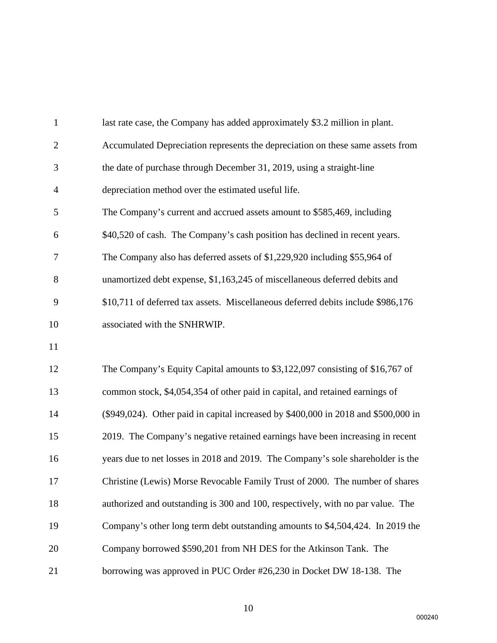| $\mathbf{1}$   | last rate case, the Company has added approximately \$3.2 million in plant.        |
|----------------|------------------------------------------------------------------------------------|
| $\overline{2}$ | Accumulated Depreciation represents the depreciation on these same assets from     |
| 3              | the date of purchase through December 31, 2019, using a straight-line              |
| $\overline{4}$ | depreciation method over the estimated useful life.                                |
| 5              | The Company's current and accrued assets amount to \$585,469, including            |
| 6              | \$40,520 of cash. The Company's cash position has declined in recent years.        |
| 7              | The Company also has deferred assets of \$1,229,920 including \$55,964 of          |
| 8              | unamortized debt expense, \$1,163,245 of miscellaneous deferred debits and         |
| 9              | \$10,711 of deferred tax assets. Miscellaneous deferred debits include \$986,176   |
| 10             | associated with the SNHRWIP.                                                       |
| 11             |                                                                                    |
| 12             | The Company's Equity Capital amounts to \$3,122,097 consisting of \$16,767 of      |
| 13             | common stock, \$4,054,354 of other paid in capital, and retained earnings of       |
| 14             | (\$949,024). Other paid in capital increased by \$400,000 in 2018 and \$500,000 in |
| 15             | 2019. The Company's negative retained earnings have been increasing in recent      |
| 16             | years due to net losses in 2018 and 2019. The Company's sole shareholder is the    |
| 17             | Christine (Lewis) Morse Revocable Family Trust of 2000. The number of shares       |
| 18             | authorized and outstanding is 300 and 100, respectively, with no par value. The    |
| 19             | Company's other long term debt outstanding amounts to \$4,504,424. In 2019 the     |
| 20             | Company borrowed \$590,201 from NH DES for the Atkinson Tank. The                  |
| 21             | borrowing was approved in PUC Order #26,230 in Docket DW 18-138. The               |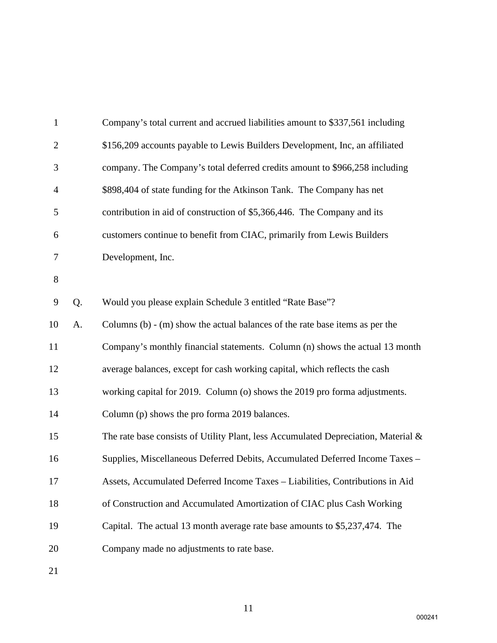| $\mathbf{1}$   |    | Company's total current and accrued liabilities amount to \$337,561 including         |
|----------------|----|---------------------------------------------------------------------------------------|
| $\overline{2}$ |    | \$156,209 accounts payable to Lewis Builders Development, Inc, an affiliated          |
| 3              |    | company. The Company's total deferred credits amount to \$966,258 including           |
| $\overline{4}$ |    | \$898,404 of state funding for the Atkinson Tank. The Company has net                 |
| 5              |    | contribution in aid of construction of \$5,366,446. The Company and its               |
| 6              |    | customers continue to benefit from CIAC, primarily from Lewis Builders                |
| 7              |    | Development, Inc.                                                                     |
| $8\,$          |    |                                                                                       |
| 9              | Q. | Would you please explain Schedule 3 entitled "Rate Base"?                             |
| 10             | A. | Columns $(b)$ - $(m)$ show the actual balances of the rate base items as per the      |
| 11             |    | Company's monthly financial statements. Column (n) shows the actual 13 month          |
| 12             |    | average balances, except for cash working capital, which reflects the cash            |
| 13             |    | working capital for 2019. Column (o) shows the 2019 pro forma adjustments.            |
| 14             |    | Column (p) shows the pro forma 2019 balances.                                         |
| 15             |    | The rate base consists of Utility Plant, less Accumulated Depreciation, Material $\&$ |
| 16             |    | Supplies, Miscellaneous Deferred Debits, Accumulated Deferred Income Taxes -          |
| 17             |    | Assets, Accumulated Deferred Income Taxes - Liabilities, Contributions in Aid         |
| 18             |    | of Construction and Accumulated Amortization of CIAC plus Cash Working                |
| 19             |    | Capital. The actual 13 month average rate base amounts to \$5,237,474. The            |
| 20             |    | Company made no adjustments to rate base.                                             |
|                |    |                                                                                       |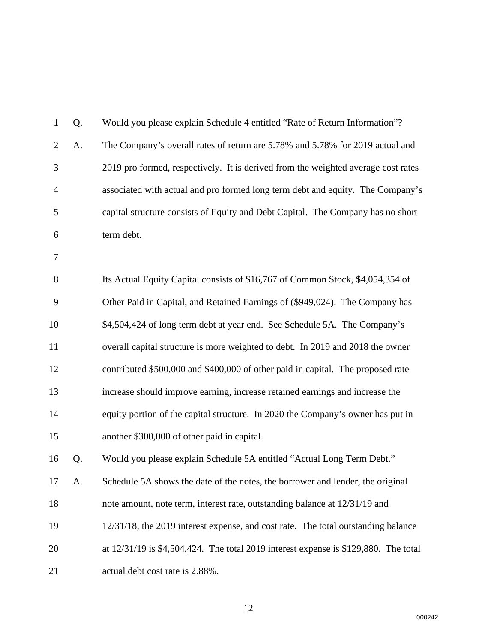| $\mathbf{1}$   | Q. | Would you please explain Schedule 4 entitled "Rate of Return Information"?          |
|----------------|----|-------------------------------------------------------------------------------------|
| $\overline{2}$ | A. | The Company's overall rates of return are 5.78% and 5.78% for 2019 actual and       |
| 3              |    | 2019 pro formed, respectively. It is derived from the weighted average cost rates   |
| $\overline{4}$ |    | associated with actual and pro formed long term debt and equity. The Company's      |
| 5              |    | capital structure consists of Equity and Debt Capital. The Company has no short     |
| 6              |    | term debt.                                                                          |
| 7              |    |                                                                                     |
| 8              |    | Its Actual Equity Capital consists of \$16,767 of Common Stock, \$4,054,354 of      |
| 9              |    | Other Paid in Capital, and Retained Earnings of (\$949,024). The Company has        |
| 10             |    | \$4,504,424 of long term debt at year end. See Schedule 5A. The Company's           |
| 11             |    | overall capital structure is more weighted to debt. In 2019 and 2018 the owner      |
| 12             |    | contributed \$500,000 and \$400,000 of other paid in capital. The proposed rate     |
| 13             |    | increase should improve earning, increase retained earnings and increase the        |
| 14             |    | equity portion of the capital structure. In 2020 the Company's owner has put in     |
| 15             |    | another \$300,000 of other paid in capital.                                         |
| 16             | Q. | Would you please explain Schedule 5A entitled "Actual Long Term Debt."              |
| 17             | A  | Schedule 5A shows the date of the notes, the borrower and lender, the original      |
| 18             |    | note amount, note term, interest rate, outstanding balance at 12/31/19 and          |
| 19             |    | 12/31/18, the 2019 interest expense, and cost rate. The total outstanding balance   |
| 20             |    | at 12/31/19 is \$4,504,424. The total 2019 interest expense is \$129,880. The total |
| 21             |    | actual debt cost rate is 2.88%.                                                     |